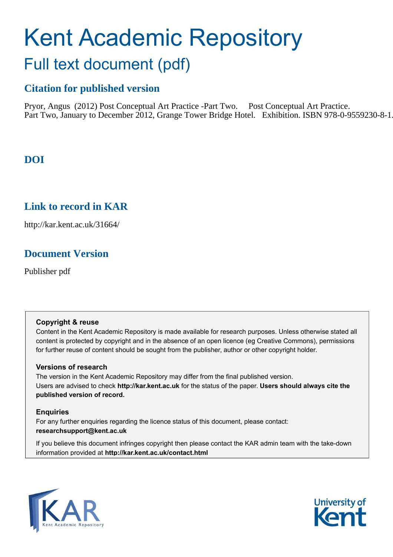# Kent Academic Repository Full text document (pdf)

# **Citation for published version**

Pryor, Angus (2012) Post Conceptual Art Practice -Part Two. Post Conceptual Art Practice. Part Two, January to December 2012, Grange Tower Bridge Hotel. Exhibition. ISBN 978-0-9559230-8-1.

# **DOI**

# **Link to record in KAR**

http://kar.kent.ac.uk/31664/

# **Document Version**

Publisher pdf

## **Copyright & reuse**

Content in the Kent Academic Repository is made available for research purposes. Unless otherwise stated all content is protected by copyright and in the absence of an open licence (eg Creative Commons), permissions for further reuse of content should be sought from the publisher, author or other copyright holder.

## **Versions of research**

The version in the Kent Academic Repository may differ from the final published version. Users are advised to check **http://kar.kent.ac.uk** for the status of the paper. **Users should always cite the published version of record.**

## **Enquiries**

For any further enquiries regarding the licence status of this document, please contact: **researchsupport@kent.ac.uk**

If you believe this document infringes copyright then please contact the KAR admin team with the take-down information provided at **http://kar.kent.ac.uk/contact.html**



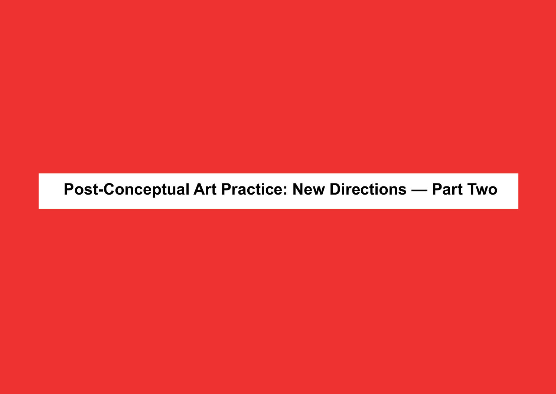# **Post-Conceptual Art Practice: New Directions — Part Two**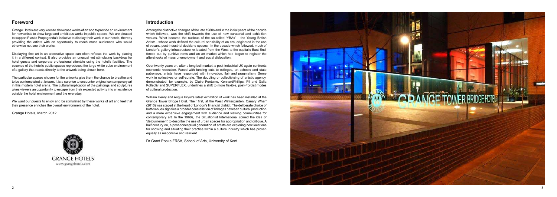# **Introduction**

Grange Hotels are very keen to showcase works of art and to provide an environment for new artists to show large and ambitious works in public spaces. We are pleased to support Plastic Propaganda's initiative to display their work in our hotels, thereby providing the artists with an opportunity to reach mass audiences who would otherwise not see their works.

Displaying fine art in an alternative space can often refocus the work by placing it in a different context. It also provides an unusual yet stimulating backdrop for hotel guests and corporate professional clientele using the hotel's facilities. The essence of the hotel's public spaces reproduces the large white cube environment of a gallery that reacts directly to the artwork being shown here.

The particular spaces chosen for the artworks give them the chance to breathe and to be contemplated at leisure. It is a surprise to encounter original contemporary art in this modern hotel arena. The cultural implication of the paintings and sculptures gives viewers an opportunity to escape from their expected activity into an existence outside the hotel environment and the everyday.

We want our guests to enjoy and be stimulated by these works of art and feel that their presence enriches the overall environment of the hotel.

Grange Hotels, March 2012

# **GRANGE HOTELS** www.grangehotels.com

Among the distinctive changes of the late 1980s and in the initial years of the decade which followed, was the shift towards the use of new curatorial and exhibition venues. What became the nucleus of the so-called 'YBAs' – the Young British Artists - whose work defined the cultural sensibility of an era, originated in the use of vacant, post-industrial dockland spaces. In the decade which followed, much of London's gallery infrastructure re-located from the West to the capital's East End, forced out by punitive rents and an art market which had begun to register the aftershocks of mass unemployment and social dislocation.

Over twenty years on, after a long bull market, a post-industrial UK again confronts economic recession. Faced with funding cuts to colleges, art schools and state patronage, artists have responded with innovation, flair and pragmatism. Some work in collectives or self-curate. The doubling or collectivising of artistic agency, demonstrated, for example, by Claire Fontaine, KennardPhillips, Pil and Galia Kollectiv and SUPERFLEX, underlines a shift to more flexible, post-Fordist modes of cultural production.

William Henry and Angus Pryor's latest exhibition of work has been installed at the Grange Tower Bridge Hotel. Their first, at the West Wintergarden, Canary Wharf  $(2010)$  was staged at the heart of London's financial district. The deliberate choice of both venues signifies a broader constellation of linkages between cultural production and a more expansive engagement with audience and viewing communities for contemporary art. In the 1960s, the Situationist International coined the idea of 'détournement' to describe the use of urban spaces for appropriation and critique. A half century on, a post-conceptual generation of artists are exploring new locations for showing and situating their practice within a culture industry which has proven equally as responsive and resilient.

Dr Grant Pooke FRSA, School of Arts, University of Kent



# **Foreword**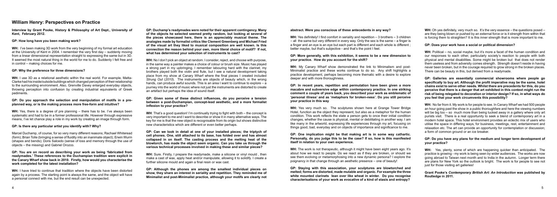**Interview by Grant Pooke, History & Philosophy of Art Dept., University of Kent, February 2012.**

#### **GP: How long have you been making work?**

**WH:** I've been making 3D work from the very beginning of my formal art education at the University of Kent in 2004. I remember the very first day  $-$  suddenly moving from a linear dimensional representation straight to expressing the same but in 3D. It seemed the most natural thing in the world for me to do. Suddenly I felt free and in control – making choices for me.

#### **GP: Why the preference for three dimensions?**

**WH:** I use 3D as a relational aesthetic within the real world. For example, Matta-Clarke had his inside/outside buildings which changed perception of their relationship to the surrounding environment. Also, Grenville Davey enlarged everyday objects, throwing perception into confusion by creating industrial equivalents of Greek pediments.

Marcel Duchamp, of course, for so yery many different reasons: Rachael Whiteread (form); Brian Tolle (bringing a sense of fluidity into an inanimate obiect): Erwin Wurm (shapes and bends): Doris Salcedo (sense of loss and memory through the use of objects – the missing) and Gabriel Orozco.

#### **GP: Do you approach the selection and manipulation of motifs in a preplanned way, or is the making process more free-form and intuitive?**

**WH:** Yes, there is a degree of pre planning – there has to be. I've always been systematic and had to be in a former professional life. However through expressive means, I've let chance play a role in my work by creating an image through form.

#### **GP: Is there any particular artist you identify with? Why?**

#### **GP: You are on record as describing your work as being 'fabricated from readymades.' These references to the Duchampian tradition were explicit in the Canary Wharf show back in 2010. Firstly, how would you characterise the work completed for the latest installation?**

**WH**: That's a good question! I'm continually trying to fight with both  $-$  the concept is very important to me and I want to describe or show it in many alternative ways. The key for me is that the new object is recognisable from its origin but shows distinctive new characteristics which are different or even better perhaps.

**WH:** I have tried to continue that tradition where the objects have been distorted again by a process. The starting point is always the same, and the object will have a personal connect with me, but the end result can be unexpected.

# **William Henry: Perspectives on Practice**

**GP: Duchamp's readymades were noted for their apparent contingency. Many of the objects he selected seemed pretty random, but looking at several of the pieces showcased here, there is an appreciably musical theme. The analogies made by formalist critics like Clement Greenberg and Michael Fried of the visual art they liked to musical composition are well known. Is this connection the reason behind your own, more literal choice of motif? If not, what has determined your selection of instruments to cast?** 

**WH:** Yes definitely! I find comfort in seriality and repetition – 3 brothers – 3 children  $\overline{a}$  = all the same but very different in every way. Only the sex is the same  $\overline{a}$  a finger is a finger and an eve is an eve but each part is different and each whole is different: better maybe, but that's subjective - and that's the point I feel.

**WH:** Yes very much so. The sculptures shown here at Grange Tower Bridge Hotel, function as the object they represent, but also as a metaphor for the human condition. This work reflects the state a person gets to once their initial condition changes, whether the cause is physical, mental or debilitating in another way. I am like many in the artworld, expressing life experiences through my art, focusing on things good, bad, everyday and on objects of importance and significance to me.

**WH:** No I don't pick an object at random. I consider, reject, and choose with purpose, in the same way a painter makes a choice of colour or brush size. Music has played a strong part in my upbringing. I remember labouring hard with the clarinet; my brothers played both the violin and flute, but I see a natural development taking place from my show at Canary Wharf where the final pieces I created included *Strung Out* (*2010*). The instruments are objects of beauty which, in the wrong hands, can produce awful sounds. This is an area I want to continue to explore – a journey into the world of music where not just the instruments are distorted to create an artefact but perhaps the idea of sound itself.

#### **GP:** Given some of these distinct influences, do you perceive a tension **between a post-Duchampian, concept-lead aesthetic, and a more formalist kp** inflexion to your practice?

**WH:** Oh yes definitely, very much so. It's the very essence  $-$  the questions posed  $$ are they being blown or pushed by an external force or is it strength from within that is forcing them to straighten? It is this inner strength that is more important to me.

**GP: Can we look in detail at one of your installed pieces; the triptych of cell phones. One, still attached to its base, has folded over and has almost collapsed in on itself. The casting process and the melting heat of the blowtorch, has made the object seem organic. Can you take us through the various technical processes involved in making these and similar pieces?** 

**WH:** Sure. Firstly, I prepare the readymade, make a silicone or vinyl mould, then make a cast of wax, apply heat and/or manipulate, allowing it to solidify. I create a further silicone mould and again a final resin or wax cast.

**WH:** Yes, plenty, some of which are happening quicker than anticipated. The practice is growing - my work is being seen by wider audiences. The works are now going abroad to Taiwan next month and to India in the autumn. Longer term there are plans for New York so the outlook is bright. The work is for people to see not just for those visiting art galleries!

**GP: Although the phones are among the smallest individual pieces on show, they share an interest in seriality and repetition. They reminded me of Minimalist and post-Minimalist practice, although your motifs are clearly not** 

#### **abstract. Were you conscious of these antecedents in any way?**

#### **GP: More generally, with this exhibition, it seems to be a new dimension to your practice. How do you account for the shift?**

**WH:** My Canary Wharf show demonstrated the link to Minimalism and post-Minimalist practice and these works continue to do so. Any shift highlights a practice development, perhaps becoming more thematic with a desire to explore deeper and with more thoroughness.

**GP: In recent years, repetition and permutation have been given a more macabre and subversive edge within contemporary practice. In one striking comment a couple of years back, you described your work as emblematic of 'personal illness' and as 'metaphors for broken-ness'. Do you still perceive your practice in this way** 

**GP: One implication might be that making art is in some way cathartic. Personally, do you judge this to be the case? If so, how is this manifested itself in relation to your own experience.**

**WH:** The work is not therapeutic, although it might have been eight years ago. It's about how we react to people. Do we react as if they are broken, or should we see them evolving or metamorphosing into a new dynamic persona? I explore the poignancy in that change through an aesthetic presence – one of beauty!

**GP: Staying with this association, your sculptures are blowtorched and melted; forms are distorted, made mutable and organic. For example the three white mounted clarinets lean over like wheat in winter. Do you recognise characterisations of your work as evocative of a kind of stasis and entropy?**

#### **GP: Does your work have a social or political dimension?**

**WH:** Political – no, social maybe, but it's more a facet of the human condition and our responses to each other, particularly society's reaction to people with both physical and mental disabilities. Some might be broken but that does not render them useless and from adversity comes strength. Strength doesn't reside in having never been broken, but in the courage required to grow strong in the broken places. There can be beauty in this, but derived from a readymade.

**GP: Galleries are essentially commercial showrooms where people go**  specifically to buy art. Although the profit imperative may be the same, hotel **chains exist to serve other needs. Whilst there are precedents for this, do you perceive that there is a danger that art exhibited in this context might run the risk of being relegated to decoration or interior design? If so, in what ways do you feel that your work circumvents this possibility?**

**WH:** No far from it. My work is for people to see. In Canary Wharf we had 500 people an hour going past the show in a public thoroughfare and here the viewing numbers will be big too – so much more than being tucked away in a gallery where only art purists visit. There is a real opportunity to seek a blend of contemporary art in a modern hotel space. This hotel environment provides an eclectic mix of users who utilise the space in differing ways, for business, meetings, rest, entertainment and relaxation etc. The art can provide an opportunity for contemplation or discussion; a form of common ground or an ice breaker.

#### **GP: Do you have any plans for the medium and longer term development of your practice?**

#### **Grant Pooke's** *Contemporary British Art: An Introduction* **was published by Routledge in 2011.**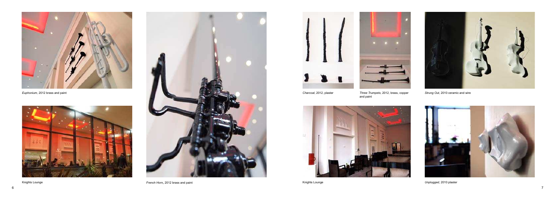*Charcoal*, 2012, plaster *Three Trumpets*, 2012, brass, copper and paint



*Strung Out*, 2010 ceramic and wire









*Euphonium,* 2012 brass and paint

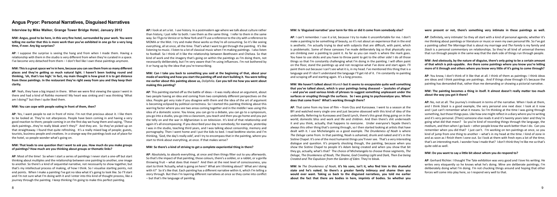**Interview by Mike Walker, Grange Tower Bridge Hotel, January 2012**

**MW: Angus, good to be here, in this very fine hotel, surrounded by your work. You were** telling me earlier that this is more work than you've exhibited in one go for a very long time, if ever. Any big surprises?

**AP**: I suppose the surprise is seeing the hang and from when I made them. Having a relationship with them in the studio is very different from when they're curated in a space. I've become very detached from them  $-1$  don't feel like I own these paintings anymore.

**MW:** This is a great space we're in here, because you can see them from so many different places and they're getting so much natural light. I haven't been looking round and thinking, 'oh, that's too high.' In fact, my main thought is how great it is to get distance from these paintings. In the restaurant they're right away from you and they keep their clarity.

**AP:** Yeah, they have a big impact in there. When we were first viewing the space I went in there and had a kind of Rothko moment! My heart was sinking and I was thinking 'What am I doing?' but then I quite liked them.

#### **MW: You can cope with people eating in front of them. then?**

AP: Yes, I want people to eat in front of mine. I'm not that precious about it. I like them to be looked at. They're not altarpieces. People have been coming in and having a very good reaction to them; people coming in on the first day we hung them and saying, 'These dark paintings...they're really bleak aren't they?' And they are. So they've picked up on that straightaway. I found that quite refreshing. It's a really mixed bag of people; guests, tourists, business people and creatives. In a strange way the paintings look out of place for the hotel, so people wonder what's going on.

#### **MW: That leads to one question that I want to ask you. How much do you make groups** of paintings? How much are you thinking about groups or thematic links?

**AP:** Most of the time! So when I start a series of paintings I never start a one-off but start thinking about multiples and the relationship between one painting to another, one image to another. So there's a kind of sequential narrative, not necessarily to show together, but that's my intellectual process of making, of how I think. So I visualise starting points, not end points. When I make a painting I've got no idea what it's going to look like. So I'll start and I'm not sure what I'm doing with it and I enter into this kind of thought process, like a journey through the painting. I keep thinking I'm going to make this perfect painting.

**AP:** Nook at art a lot. Tuse history. In a postmodern age where we talk about culture rather than history. I just refer to both. I see them as the same thing. I refer to them in the same way. So I'll go to Venice or to New York and I'll use a reference to the city with a reference to MOMA or the Met. I try and make these works so they're all consuming. So it's like seeing everything, all at once, all the time. That's what I want to get through the painting. It's like listening to music. I listen to a lot of classical music when I'm making paintings. I also listen to football. So I think of it like the relationship between Beethoven and Chelsea. So that kind of work and the imagery that's going on within the paintings as I'm doing them, not necessarily deliberately, but I'm very aware that I'm using influences. I'm not bothered by it or hung up by the idea that you're transcribing.

#### **MW: Can I take you back to something you said at the beginning of that, about your** mode of working and how you start the painting off and start building it. You were telling me earlier about this painting above us, *Doliphilia***.** Can you tell me how you went about making this painting?

**AP:** This painting started off as the battle of ideas – it was really about an argument, about two people having an idea and coming from two completely different perspectives on the idea. People get very irate if you disagree with them and the idea of the art of argument is becoming eclipsed by political correctness. So I started this painting thinking about this warring factor where you see two areas coming together and in the middle I was using this idea of a domestic scene. You know, you can go to a debate, you can go to a symposium, you go into a studio, you go into a classroom, you teach and then you go home and you put the telly on and the war in Afghanistan is on television. It's kind of that relationship and again it's all encompassing. If you described your day to somebody; for example, yesterday I was in the studio, teaching third years, and I was talking about censorship, memory and pornography. Then I went home and I put the kids to bed. I read bedtime stories and I'm thinking, 'God, the day's really odd', and I try to encompass that in the painting, where you start to think about everything, at once. If that makes sense?

#### **MW**: So there's a kind of striving to get a complete experiential thing in there?

AP: Absolutely, to absorb everything, at once and then things filter out to you afterwards. So that's the impact of that painting; those colours, there's a soldier, or a rabbit, or a gorilla throwing fruit – what does that mean? And then at the next level of consciousness, you start to think 'Actually, what is going on here? What am I thinking about? What am I doing with it?' So it's like that. Each painting has a different narrative within it, which I'm telling a story through. But then I'm layering different narratives at once so they come into conflict - but that's the language of painting.

**AP**: I can't remember. I use it a lot, because I try to make it uncomfortable for me. I don't make a painting to be something of beauty, so it's not about an experience that in the end is aesthetic. I'm actually trying to deal with subjects that are difficult, with paint, which is problematic. Some of these canvases I've made deliberately big so that physically you are climbing over a painting to paint it. As far as you can reach is where the mark goes. You have to use sticks and you have to throw paint to get to the other side! I do all those things so that I'm constantly challenging what I'm doing in the painting. I will often paint on the floor, stand the paintings up and not recognise what I've done and start again. I'll paint them out because I can't see what it is, in my head. I've mentioned this thing that is a language and if I don't understand the language I'll get rid of it. I'm constantly re-painting and scraping off and starting again. It's a long process,

#### **MW: Is 'disguised narrative' your term for this or did it come from somebody else?**

**MW: We haven't talked about** *Munich* but it seems to encapsulate quite well something that you've talked about, which is your paintings being diseased – 'pustules of plague' - and you've used various kinds of phrases to suggest something unpleasant under the surfaces or erupting through the surfaces. So I was going to psychoanalyse you. Where does that come from? What's working through there?

**AP**: That came from my love of film – from Ozu and Kurosawa. I went to a season at the BFI and watched every single one and just became obsessed with this kind of idea of the underbelly. Referring to Kurosawa and David Lynch, there's this great thing going on in the world: domestic bliss and work and life and children. And then there's shit underneath it and you think, actually, that happens to everyone. Under everyone's facade there's always this other thing that's coming through, so I then started looking at artists that have Sweedit with it. I use Michelangelo as a good example. The Drunkeness of Noah is where *The Deluge* came from. In that painting. Noah is ashamed, drunk and naked and it's in the Sistine Chapel. It's one of the most humanist things you'll ever see. That's a very interesting dialogue and question. It's properly shocking though, the painting, because when you show the Sistine Chapel to people it's Adam being created and when you show that bit they go, actually, what's that? The choice of Michelangelo to choose those segments, The *Deluge. The Drunkeness of Nogh. The Shame. God Creating Light and Dark. Then Eve being Created and The Expulsion from the Garden of Eden. They're bleak.* 

**MW**: In *The Drunkeness of Noah*, it's his sons, isn't it, who find him in this shameful state and he's naked. So there's a greater family intimacy and shame then you **Would ever want. Taking us back to the disguised narratives, you told me earlier** about the fact that there are bodies in here, imprints of bodies. So whether you

#### were present or not, there's something very intimate in these paintings as well.

**AP:** Definitely, very intimate! So they all start with a kind of personal agenda; whether it's me thinking about paintings or literature or music or even my own personal life. So I've got a painting called *The Marriage* that is about my marriage and *The Family* is my family and *Stack* is a personal commentary on relationships. So they're all kind of universal themes that run through people in the same way that the dark side of things run through people.

#### **MW: And obviously, by the nature of disguise, there's only going to be a certain amount** of that which is pick-uppable. Are there some paintings where you know you're letting more of it through and others where you know very little of it's going to come through?

**AP:** You know, I don't think of it like that at all. I think of them as paintings: I think ideas are ideas and I think paintings are paintings. And if things show through it's because the painting has demanded that, rather than me demanding or showing a pictorial narrative.

#### **MW:** The painting becomes a thing in itself. It almost doesn't really matter too much about the way you got it there?

**AP:** No, not at all. The journey's irrelevant in terms of the narrative. When I look at them, and I think *Stack* is a good example, the very personal one next door. I look at it now and I just can't remember what it means. So I'm thinking at the time I was going through something, but those things pass. Like how one might reflect in a diary where you're writing and it's very personal. (Then) someone else reads it and it's twenty years later and they're going what did that mean? So you're kind of recording things through the language, the medium, and then when I go back – other people know the work better than I do. Can you remember when you did that? I just can't. I'm working on ten paintings at once, so you kind of jump from one thing to another – what's in my head at the time. I kind of zone in and as soon as I finish them I zone out. So I look at them with fresh eyes a lot of the time; that's an interesting mark. I wonder how I made that? I don't think they're like me so that's auite odd as well.

#### **CAVE:** Do you want to say a little bit about whom you do respond to?

**AP:** Gerhard Richter. I thought The Tate exhibition was very good and I love his writing. He writes very eloquently so he knows what he's doing. Mine are deliberate paintings: I'm deliberately doing what I'm doing. I'm not chucking things around and hoping that other forces will come into play here, so I respond very well to that.

# **Angus Pryor: Personal Narratives, Disguised Narratives**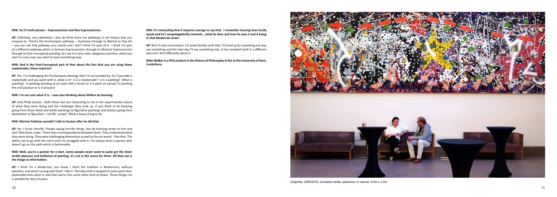#### **MW: So it's both phases - Expressionism and Neo-Expressionism.**

**AP:** Definitely, very definitely! I also do think there are pathways in art history that you respond to. There's the Duchampian pathway – Duchamp through to Warhol to Pop Art - you can see that pathway very clearly and I don't think I'm part of it. I think I'm part of a different pathway which is German Expressionism through to Abstract Expressionism through to Post-Conceptual painting. So I see it in very clear categories and then, when you start to cross over, you start to have something new.

#### **MW: And is the Post-Conceptual part of that about the fact that you are using these** readymades. these imprints?

**AP:** Yes. I'm challenging the Duchampian ideology that I'm surrounded by. So if you take a readymade and you paint with it, what is it? Is it a readymade? Is it a painting? What is painting? Is painting standing at an easel with a brush or is it paint on canvas? Is painting the end-product or is it process?

#### **CHI WE I'm not sure what it is. I was also thinking about Willem de Kooning.**

**AP:** And Philip Guston. Both those two are interesting to me in the experimental nature of what they were doing and the challenges they took up. If you think of de Kooning going from those black and white paintings to figurative paintings and Guston going from abstraction to figuration – terrific jumps! What a brave thing to do.

#### **MW: Morton Feldman wouldn't talk to Guston after he did that.**

AP: No. I know. Horrific. People saying horrific things, but de Kooning wrote to him and said 'Well done, mate.' There was a correspondence between them. They understood what they were doing. They were challenging themselves as well as the art world. I like that. The ability not to go with the norm and I've struggled with it. I've always been a person who doesn't go on the path which is fashionable.

#### **MW: Well, you're a painter for a start. Some people never seem to quite get the sheer** tactile pleasure and brilliance of painting. It's not in the arena for them. All they see is the image as information.

**AP**: I think I'm a Modernist, you know. I think the tradition is Modernism, without guestion, and what's wrong with that? I like it. This idea that it stopped at some point then postmodernism came in and then we're into some other kind of phase. These things run in parallel for tens of years.

**MW: It's interesting that it requires courage to say that. I remember hearing Sean Scully** speak and he's unapologetically romantic...what he does and how he sees it and it being in that Modernist strain.

**AP**: But I'm also inconsistent. I'm quite familiar with that. I'll stand up for a painting one day, say something and the next day I'll say something else. It has revealed itself in a different way and I feel differently about it.

Mike Walker is a PhD student in the History of Philosophy of Art at the University of Kent, **Canterbury.** 



*Doliphilia*, 2009/2010, oil based media, plasticine on canvas, 8.5m x 2.5m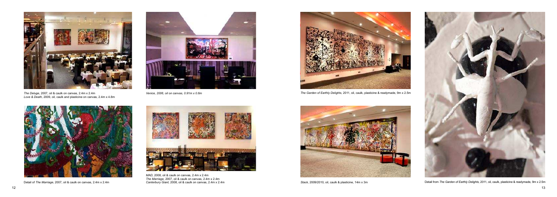

*The Deluge*, 2007, oil & caulk on canvas, 2.4m x 2.4m *Love & Death*, 2009, oil, caulk and plasticine on canvas, 2.4m x 4.8m



*Venice, 2006, oil on canvas, 0.91m x 0.6m*





*The Garden of Earthly Delights,* 2011, oil, caulk, plasticine & readymade, 9m x 2.5m





Canterbury Giant, 2008, oil & caulk on canvas, 2.4m x 2.4m Canterbury Giant, 2008, oil & caulk on canvas, 2.4m X 2.4m Canterbury Giant, 2008, oil & caulk on canvas, 2.4m x 2.4m Stack, 2009/2010, oil, caulk & plasticine, 14



*MAD*, 2008, oil & caulk on canvas, 2.4m x 2.4m *The Marriage,* 2007, oil & caulk on canvas, 2.4m x 2.4m *Canterbury Giant,* 2008, oil & caulk on canvas, 2.4m x 2.4m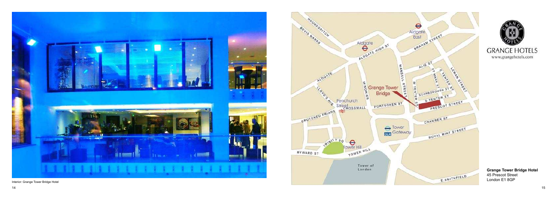**Grange Tower Bridge Hotel** 45 Prescot Street